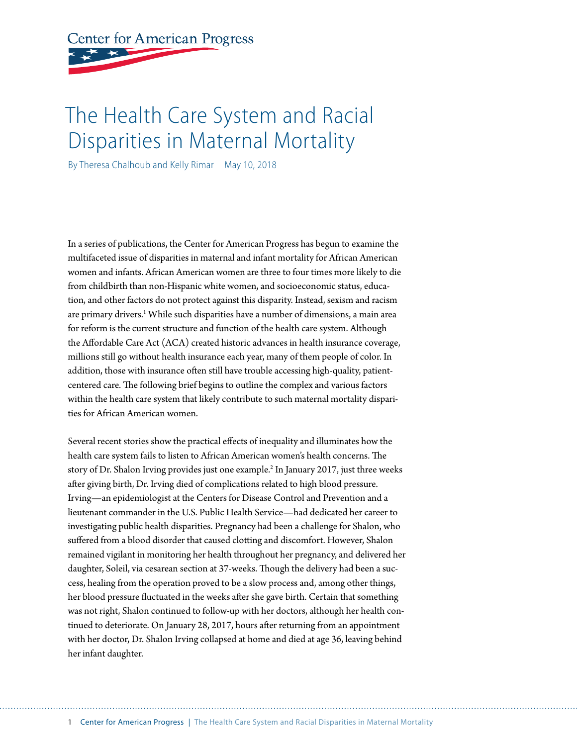# **Center for American Progress**

# The Health Care System and Racial Disparities in Maternal Mortality

By Theresa Chalhoub and Kelly Rimar May 10, 2018

In a series of publications, the Center for American Progress has begun to examine the multifaceted issue of disparities in maternal and infant mortality for African American women and infants. African American women are three to four times more likely to die from childbirth than non-Hispanic white women, and socioeconomic status, education, and other factors do not protect against this disparity. Instead, sexism and racism are primary drivers.<sup>1</sup> While such disparities have a number of dimensions, a main area for reform is the current structure and function of the health care system. Although the Affordable Care Act (ACA) created historic advances in health insurance coverage, millions still go without health insurance each year, many of them people of color. In addition, those with insurance often still have trouble accessing high-quality, patientcentered care. The following brief begins to outline the complex and various factors within the health care system that likely contribute to such maternal mortality disparities for African American women.

Several recent stories show the practical effects of inequality and illuminates how the health care system fails to listen to African American women's health concerns. The story of Dr. Shalon Irving provides just one example.<sup>2</sup> In January 2017, just three weeks after giving birth, Dr. Irving died of complications related to high blood pressure. Irving—an epidemiologist at the Centers for Disease Control and Prevention and a lieutenant commander in the U.S. Public Health Service—had dedicated her career to investigating public health disparities. Pregnancy had been a challenge for Shalon, who suffered from a blood disorder that caused clotting and discomfort. However, Shalon remained vigilant in monitoring her health throughout her pregnancy, and delivered her daughter, Soleil, via cesarean section at 37-weeks. Though the delivery had been a success, healing from the operation proved to be a slow process and, among other things, her blood pressure fluctuated in the weeks after she gave birth. Certain that something was not right, Shalon continued to follow-up with her doctors, although her health continued to deteriorate. On January 28, 2017, hours after returning from an appointment with her doctor, Dr. Shalon Irving collapsed at home and died at age 36, leaving behind her infant daughter.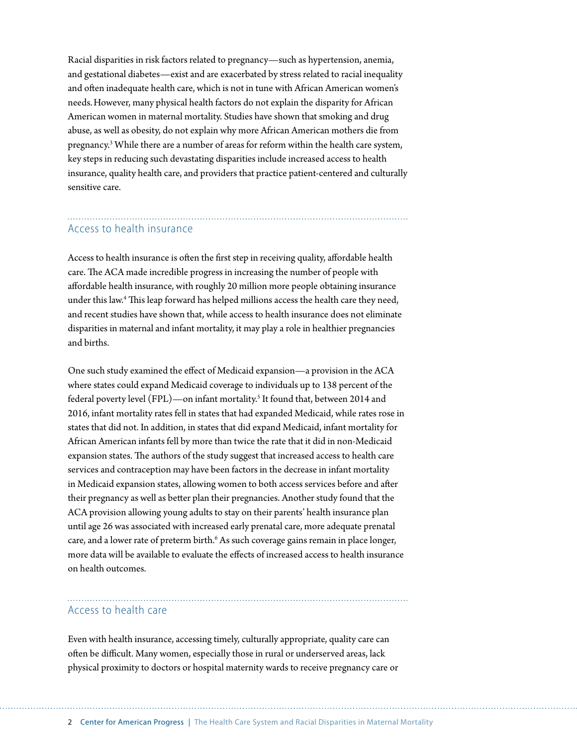Racial disparities in risk factors related to pregnancy—such as hypertension, anemia, and gestational diabetes—exist and are exacerbated by stress related to racial inequality and often inadequate health care, which is not in tune with African American women's needs.However, many physical health factors do not explain the disparity for African American women in maternal mortality. Studies have shown that smoking and drug abuse, as well as obesity, do not explain why more African American mothers die from pregnancy.<sup>3</sup> While there are a number of areas for reform within the health care system, key steps in reducing such devastating disparities include increased access to health insurance, quality health care, and providers that practice patient-centered and culturally sensitive care.

# Access to health insurance

Access to health insurance is often the first step in receiving quality, affordable health care. The ACA made incredible progress in increasing the number of people with affordable health insurance, with roughly 20 million more people obtaining insurance under this law.<sup>4</sup> This leap forward has helped millions access the health care they need, and recent studies have shown that, while access to health insurance does not eliminate disparities in maternal and infant mortality, it may play a role in healthier pregnancies and births.

One such study examined the effect of Medicaid expansion—a provision in the ACA where states could expand Medicaid coverage to individuals up to 138 percent of the federal poverty level (FPL)—on infant mortality.<sup>5</sup> It found that, between 2014 and 2016, infant mortality rates fell in states that had expanded Medicaid, while rates rose in states that did not. In addition, in states that did expand Medicaid, infant mortality for African American infants fell by more than twice the rate that it did in non-Medicaid expansion states. The authors of the study suggest that increased access to health care services and contraception may have been factors in the decrease in infant mortality in Medicaid expansion states, allowing women to both access services before and after their pregnancy as well as better plan their pregnancies. Another study found that the ACA provision allowing young adults to stay on their parents' health insurance plan until age 26 was associated with increased early prenatal care, more adequate prenatal care, and a lower rate of preterm birth.<sup>6</sup> As such coverage gains remain in place longer, more data will be available to evaluate the effects of increased access to health insurance on health outcomes.

# Access to health care

Even with health insurance, accessing timely, culturally appropriate, quality care can often be difficult. Many women, especially those in rural or underserved areas, lack physical proximity to doctors or hospital maternity wards to receive pregnancy care or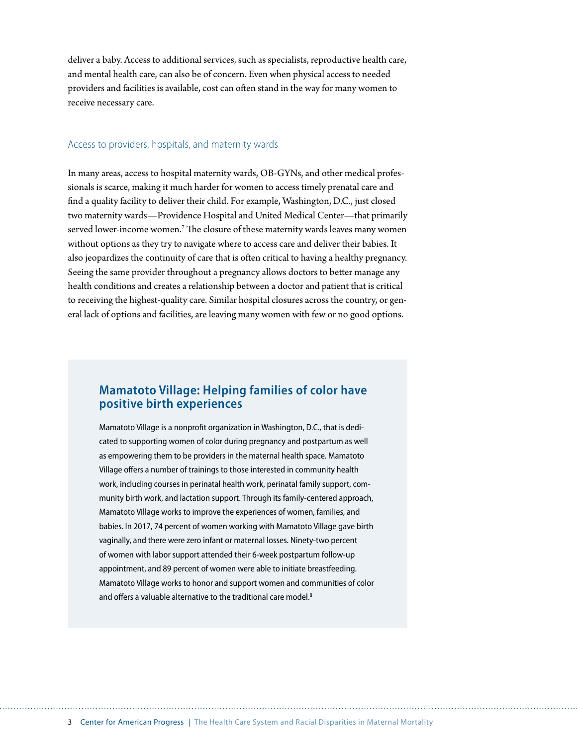deliver a baby. Access to additional services, such as specialists, reproductive health care, and mental health care, can also be of concern. Even when physical access to needed providers and facilities is available, cost can often stand in the way for many women to receive necessary care.

#### Access to providers, hospitals, and maternity wards

In many areas, access to hospital maternity wards, OB-GYNs, and other medical professionals is scarce, making it much harder for women to access timely prenatal care and find a quality facility to deliver their child. For example, Washington, D.C., just closed two maternity wards—Providence Hospital and United Medical Center—that primarily served lower-income women.<sup>7</sup> The closure of these maternity wards leaves many women without options as they try to navigate where to access care and deliver their babies. It also jeopardizes the continuity of care that is often critical to having a healthy pregnancy. Seeing the same provider throughout a pregnancy allows doctors to better manage any health conditions and creates a relationship between a doctor and patient that is critical to receiving the highest-quality care. Similar hospital closures across the country, or general lack of options and facilities, are leaving many women with few or no good options.

## **Mamatoto Village: Helping families of color have positive birth experiences**

Mamatoto Village is a nonprofit organization in Washington, D.C., that is dedicated to supporting women of color during pregnancy and postpartum as well as empowering them to be providers in the maternal health space. Mamatoto Village offers a number of trainings to those interested in community health work, including courses in perinatal health work, perinatal family support, community birth work, and lactation support. Through its family-centered approach, Mamatoto Village works to improve the experiences of women, families, and babies. In 2017, 74 percent of women working with Mamatoto Village gave birth vaginally, and there were zero infant or maternal losses. Ninety-two percent of women with labor support attended their 6-week postpartum follow-up appointment, and 89 percent of women were able to initiate breastfeeding. Mamatoto Village works to honor and support women and communities of color and offers a valuable alternative to the traditional care model.<sup>8</sup>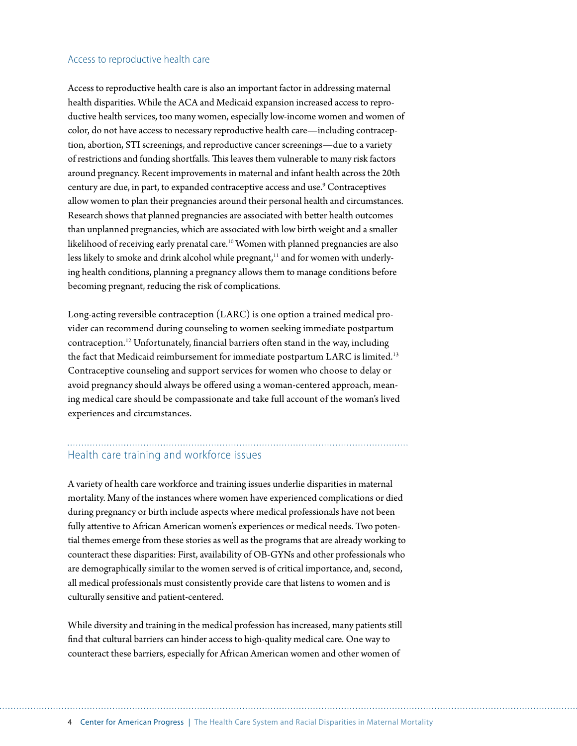#### Access to reproductive health care

Access to reproductive health care is also an important factor in addressing maternal health disparities. While the ACA and Medicaid expansion increased access to reproductive health services, too many women, especially low-income women and women of color, do not have access to necessary reproductive health care—including contraception, abortion, STI screenings, and reproductive cancer screenings—due to a variety of restrictions and funding shortfalls. This leaves them vulnerable to many risk factors around pregnancy. Recent improvements in maternal and infant health across the 20th century are due, in part, to expanded contraceptive access and use.<sup>9</sup> Contraceptives allow women to plan their pregnancies around their personal health and circumstances. Research shows that planned pregnancies are associated with better health outcomes than unplanned pregnancies, which are associated with low birth weight and a smaller likelihood of receiving early prenatal care.<sup>10</sup> Women with planned pregnancies are also less likely to smoke and drink alcohol while pregnant,<sup>11</sup> and for women with underlying health conditions, planning a pregnancy allows them to manage conditions before becoming pregnant, reducing the risk of complications.

Long-acting reversible contraception (LARC) is one option a trained medical provider can recommend during counseling to women seeking immediate postpartum contraception.<sup>12</sup> Unfortunately, financial barriers often stand in the way, including the fact that Medicaid reimbursement for immediate postpartum LARC is limited.<sup>13</sup> Contraceptive counseling and support services for women who choose to delay or avoid pregnancy should always be offered using a woman-centered approach, meaning medical care should be compassionate and take full account of the woman's lived experiences and circumstances.

# Health care training and workforce issues

A variety of health care workforce and training issues underlie disparities in maternal mortality. Many of the instances where women have experienced complications or died during pregnancy or birth include aspects where medical professionals have not been fully attentive to African American women's experiences or medical needs. Two potential themes emerge from these stories as well as the programs that are already working to counteract these disparities: First, availability of OB-GYNs and other professionals who are demographically similar to the women served is of critical importance, and, second, all medical professionals must consistently provide care that listens to women and is culturally sensitive and patient-centered.

While diversity and training in the medical profession has increased, many patients still find that cultural barriers can hinder access to high-quality medical care. One way to counteract these barriers, especially for African American women and other women of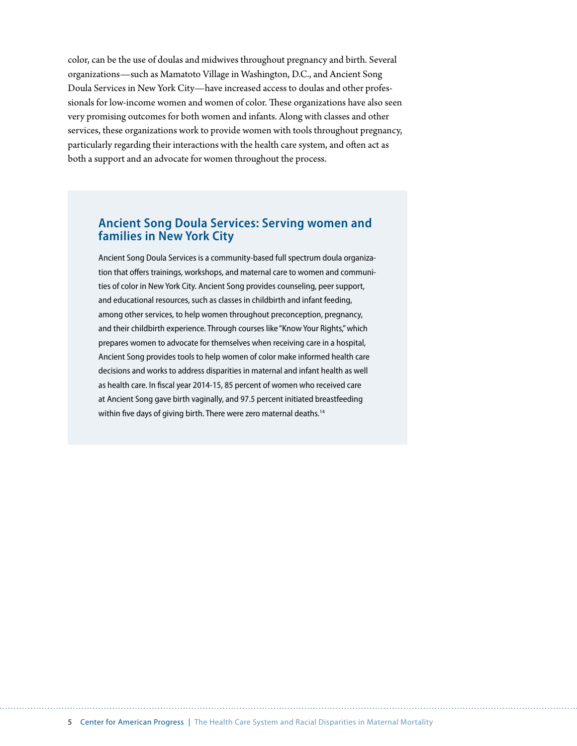color, can be the use of doulas and midwives throughout pregnancy and birth. Several organizations—such as Mamatoto Village in Washington, D.C., and Ancient Song Doula Services in New York City—have increased access to doulas and other professionals for low-income women and women of color. These organizations have also seen very promising outcomes for both women and infants. Along with classes and other services, these organizations work to provide women with tools throughout pregnancy, particularly regarding their interactions with the health care system, and often act as both a support and an advocate for women throughout the process.

# **Ancient Song Doula Services: Serving women and families in New York City**

Ancient Song Doula Services is a community-based full spectrum doula organization that offers trainings, workshops, and maternal care to women and communities of color in New York City. Ancient Song provides counseling, peer support, and educational resources, such as classes in childbirth and infant feeding, among other services, to help women throughout preconception, pregnancy, and their childbirth experience. Through courses like "Know Your Rights," which prepares women to advocate for themselves when receiving care in a hospital, Ancient Song provides tools to help women of color make informed health care decisions and works to address disparities in maternal and infant health as well as health care. In fiscal year 2014-15, 85 percent of women who received care at Ancient Song gave birth vaginally, and 97.5 percent initiated breastfeeding within five days of giving birth. There were zero maternal deaths.<sup>14</sup>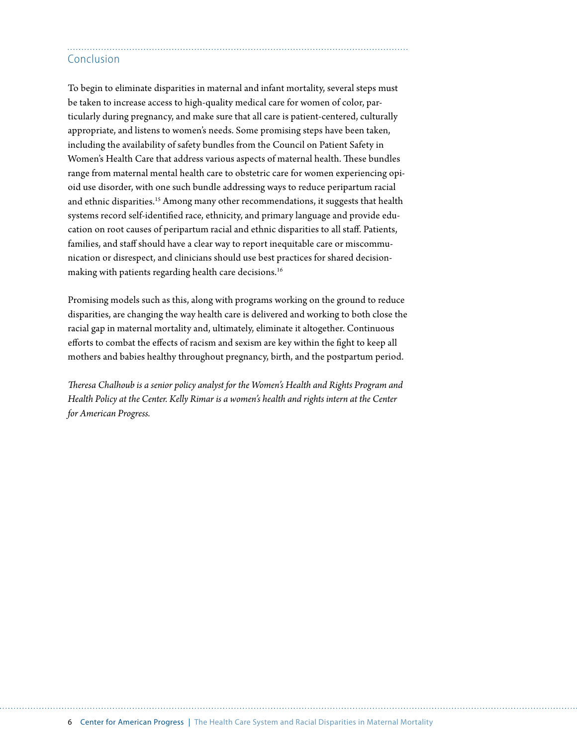# Conclusion

To begin to eliminate disparities in maternal and infant mortality, several steps must be taken to increase access to high-quality medical care for women of color, particularly during pregnancy, and make sure that all care is patient-centered, culturally appropriate, and listens to women's needs. Some promising steps have been taken, including the availability of safety bundles from the Council on Patient Safety in Women's Health Care that address various aspects of maternal health. These bundles range from maternal mental health care to obstetric care for women experiencing opioid use disorder, with one such bundle addressing ways to reduce peripartum racial and ethnic disparities.<sup>15</sup> Among many other recommendations, it suggests that health systems record self-identified race, ethnicity, and primary language and provide education on root causes of peripartum racial and ethnic disparities to all staff. Patients, families, and staff should have a clear way to report inequitable care or miscommunication or disrespect, and clinicians should use best practices for shared decisionmaking with patients regarding health care decisions.<sup>16</sup>

Promising models such as this, along with programs working on the ground to reduce disparities, are changing the way health care is delivered and working to both close the racial gap in maternal mortality and, ultimately, eliminate it altogether. Continuous efforts to combat the effects of racism and sexism are key within the fight to keep all mothers and babies healthy throughout pregnancy, birth, and the postpartum period.

*Theresa Chalhoub is a senior policy analyst for the Women's Health and Rights Program and Health Policy at the Center. Kelly Rimar is a women's health and rights intern at the Center for American Progress.*